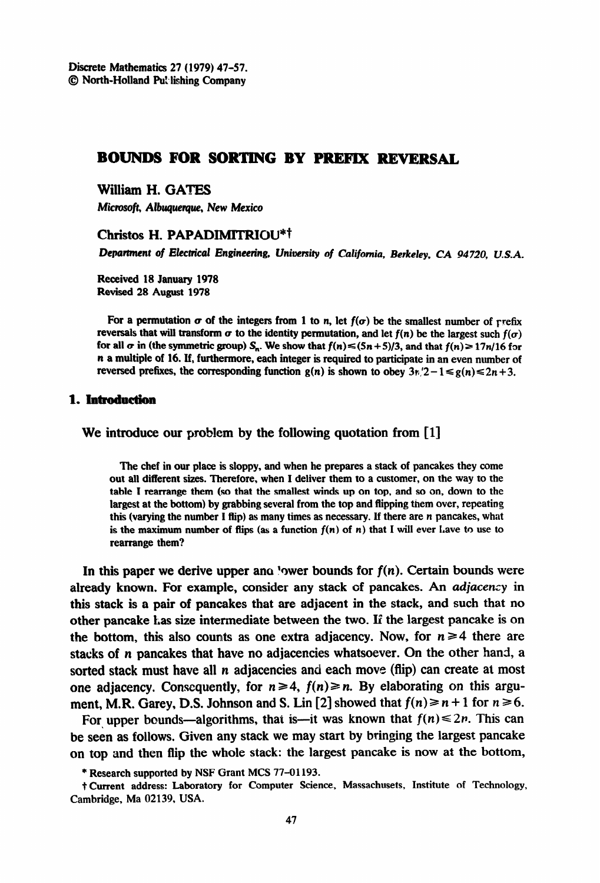# **BOUNDS FOR SORTING BY PREFIX REVERSAL**

**William H. GATES** 

**Microsoft, Albuquerque, New Mexico** 

#### **Christos H. PAPADIMITRIOU"~**

Department of Electrical Engineering, University of California, Berkeley, CA 94720, U.S.A.

**Received 18 January 1978 Revised 28 August I978** 

For a permutation  $\sigma$  of the integers from 1 to n, let  $f(\sigma)$  be the smallest number of refix **reversals that will transform**  $\sigma$  **to the identity permutation, and let**  $f(n)$  **be the largest such**  $f(\sigma)$ for all  $\sigma$  in (the symmetric group)  $S_n$ . We show that  $f(n) \le (5n + 5)/3$ , and that  $f(n) \ge 17n/16$  for **n a multiple of 16. If, furthermore, each integer is required to participate in an even number of reversed prefixes, the corresponding function**  $g(n)$  **is shown to obey**  $3n/2 - 1 \le g(n) \le 2n + 3$ **.** 

#### 1. Introduction

We introduce our problem by the following quotation from  $[1]$ 

**The chef in our place is sloppy, and when he prepares a stack of pancakes they come out all different sizes. Therefore, when I deliver them to a customer, on the way to the table I rearrange them (so that the smallest winds up on top, and so on, down to the largest at the bottom) by grabbing several from the top and flipping them over, repeating this (varying the number I flip) as many times as necessary. If there are** n **pancakes, what**  is the maximum number of flips (as a function  $f(n)$  of n) that I will ever Lave to use to **rearrange them?** 

In this paper we derive upper and 'ower bounds for  $f(n)$ . Certain bounds were already known. For example, consider any stack of pancakes. An adjacency in this stack is a pair of pancakes that are adjacent in the stack, and such that no other pancake Las size intermediate between the two. If the largest pancake is on the bottom, this also counts as one extra adjacency. Now, for  $n \geq 4$  there are stacks of n pancakes that have no adjacencies whatsoever. On the other hand, a sorted stack must have all n adjacencies and each move (flip) can create at most one adjacency. Consequently, for  $n \geq 4$ ,  $f(n) \geq n$ . By elaborating on this argument, M.R. Garey, D.S. Johnson and S. Lin [2] showed that  $f(n) \ge n+1$  for  $n \ge 6$ .

For upper bounds-algorithms, that is --it was known that  $f(n) \leq 2n$ . This can be seen as follows. Given any stack we may start by bringing the largest pancake on top and then flip the whole stack: the largest pancake is now at the bottom,

<sup>\*</sup> **Research supported by NSF Grant MCS 77-01193.** 

**t Current address: Laboratory for Computer Science, Massachusets, Institute of Technology, Cambridge, Ma 02139, USA.**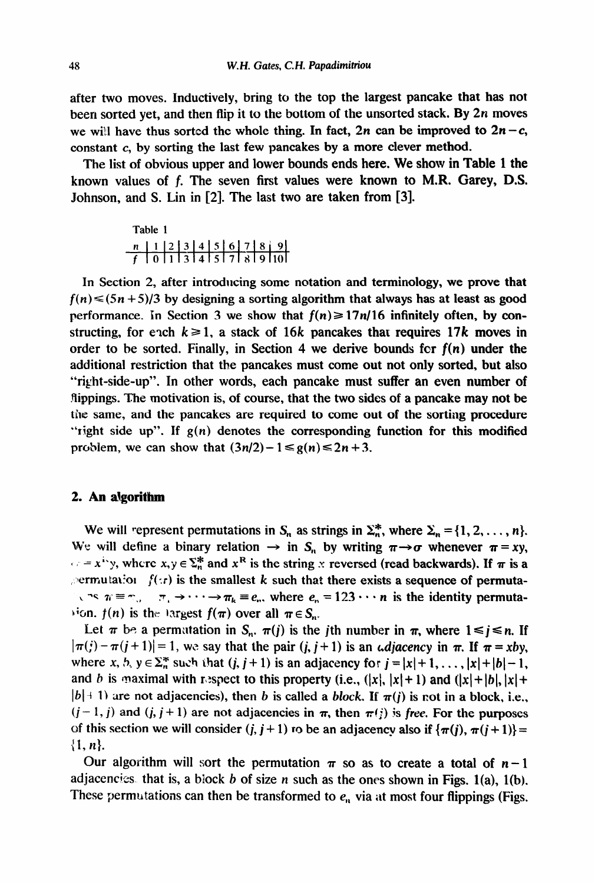after two moves. Inductively, bring to the top the largest pancake that has not been sorted yet, and then flip it to the bottom of the unsorted stack. By  $2n$  moves we will have thus sorted the whole thing. In fact, 2n can be improved to  $2n - c$ , constant c, by sorting the last few pancakes by a more clever method.

The list of obvious upper and lower bounds ends here. We show in Table 1 the known values of f. The seven first values were known to M.R. Garey, D.S. Johnson, and S. Lin in [2]. The last two are taken from [3].

| Table 1 |  |  |  |  |  |  |  |  |  |
|---------|--|--|--|--|--|--|--|--|--|
|         |  |  |  |  |  |  |  |  |  |
|         |  |  |  |  |  |  |  |  |  |

In Section 2, after introducing some notation and terminology, we prove **that**   $f(n) \leq (5n + 5)/3$  by designing a sorting algorithm that always has at least as good performance. In Section 3 we show that  $f(n) \ge 17n/16$  infinitely often, by constructing, for ench  $k \ge 1$ , a stack of 16k pancakes that requires 17k moves in order to be sorted. Finally, in Section 4 we derive bounds for  $f(n)$  under the additional restriction that the pancakes must come out not only sorted, but also "right-side-up". In other words, each pancake must suffer an even number of flippings. The motivation is, of course, that the two sides of a pancake may not be the same, and the pancakes are required to come out of the sorting procedure "right side up". If  $g(n)$  denotes the corresponding function for this modified problem, we can show that  $(3n/2) - 1 \le g(n) \le 2n + 3$ .

## **2. An algorithm**

We will represent permutations in  $S_n$  as strings in  $\Sigma_n^*$ , where  $\Sigma_n = \{1, 2, ..., n\}$ . We will define a binary relation  $\rightarrow$  in S<sub>n</sub> by writing  $\pi \rightarrow \sigma$  whenever  $\pi = xy$ ,  $\langle \cdot \rangle = x^{i}$ , where  $x, y \in \Sigma_n^*$  and  $x^R$  is the string x reversed (read backwards). If  $\pi$  is a  $\beta$  ermutation  $f(x)$  is the smallest k such that there exists a sequence of permuta- $\lambda$  is  $\pi \equiv \gamma$ ,  $\pi_1 \to \cdots \to \pi_k \equiv e_n$ , where  $e_n = 123 \cdots n$  is the identity permuta- $\lambda$  ion.  $f(n)$  is the 13rgest  $f(\pi)$  over all  $\pi \in S_n$ .

Let  $\pi$  be a permutation in  $S_n$ ,  $\pi(j)$  is the jth number in  $\pi$ , where  $1 \le j \le n$ . If  $|\pi(j) - \pi(j + 1)| = 1$ , we say that the pair  $(j, j + 1)$  is an *diacency* in  $\pi$ . If  $\pi = xby$ , where x, b,  $y \in \sum_{n=1}^{\infty}$  such that  $(j, j + 1)$  is an adjacency for  $j = |x| + 1, \ldots, |x| + |b| - 1$ , and b is maximal with respect to this property (i.e.,  $(|x|, |x|+ 1)$  and  $(|x|+ |b|, |x|+ 1)$  $|b|$  + 1) are not adjacencies), then b is called a block. If  $\pi(i)$  is not in a block, i.e.,  $(j - 1, j)$  and  $(j, j + 1)$  are not adjacencies in  $\pi$ , then  $\pi(j)$  is free. For the purposes of this section we will consider  $(i, i + 1)$  ro be an adjacency also if  $\{\pi(i), \pi(i + 1)\}$  $\{1, n\}.$ 

Our algorithm will sort the permutation  $\pi$  so as to create a total of  $n-1$ adjacencies. that is, a block b of size *n* such as the ones shown in Figs. l(a), l(b). These permutations can then be transformed to  $e_n$  via at most four flippings (Figs.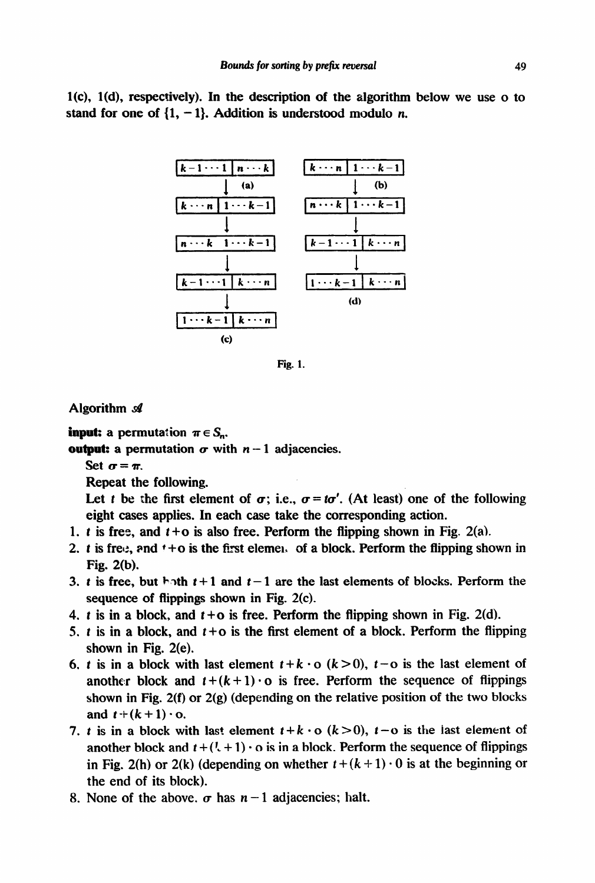$l(c)$ ,  $l(d)$ , respectively). In the description of the algorithm below we use o to stand for one of  $\{1, -1\}$ . Addition is understood modulo *n*.



**Fig. 1.** 

## Algorithm  $\mathcal A$

**input:** a permutation  $\pi \in S_n$ .

**output:** a permutation  $\sigma$  with  $n-1$  adjacencies.

Set  $\sigma = \pi$ .

Repeat the following.

Let t be the first element of  $\sigma$ ; i.e.,  $\sigma = t\sigma'$ . (At least) one of the following eight cases applies. In each case take the corresponding action.

- 1. t is free, and  $t + o$  is also free. Perform the flipping shown in Fig. 2(a).
- 2. t is free, and  $t + o$  is the first elemen of a block. Perform the flipping shown in Fig. 2(b).
- 3. t is free, but both  $t+1$  and  $t-1$  are the last elements of blocks. Perform the sequence of flippings shown in Fig. 2(c).
- 4. t is in a block, and  $t + o$  is free. Perform the flipping shown in Fig. 2(d).
- 5. t is in a block, and  $t + o$  is the first element of a block. Perform the flipping shown in Fig. 2(e).
- 6. t is in a block with last element  $t + k \cdot o$  ( $k > 0$ ),  $t o$  is the last element of another block and  $t + (k + 1) \cdot o$  is free. Perform the sequence of flippings shown in Fig. 2(f) or 2(g) (depending on the relative position of the two blocks and  $t+(k+1)\cdot o$ .
- 7. t is in a block with last element  $t + k \cdot o$  ( $k > 0$ ),  $t o$  is the last element of another block and  $t + (l + 1) \cdot o$  is in a block. Perform the sequence of flippings in Fig. 2(h) or 2(k) (depending on whether  $t + (k + 1) \cdot 0$  is at the beginning or the end of its block).
- 8. None of the above.  $\sigma$  has  $n-1$  adjacencies; halt.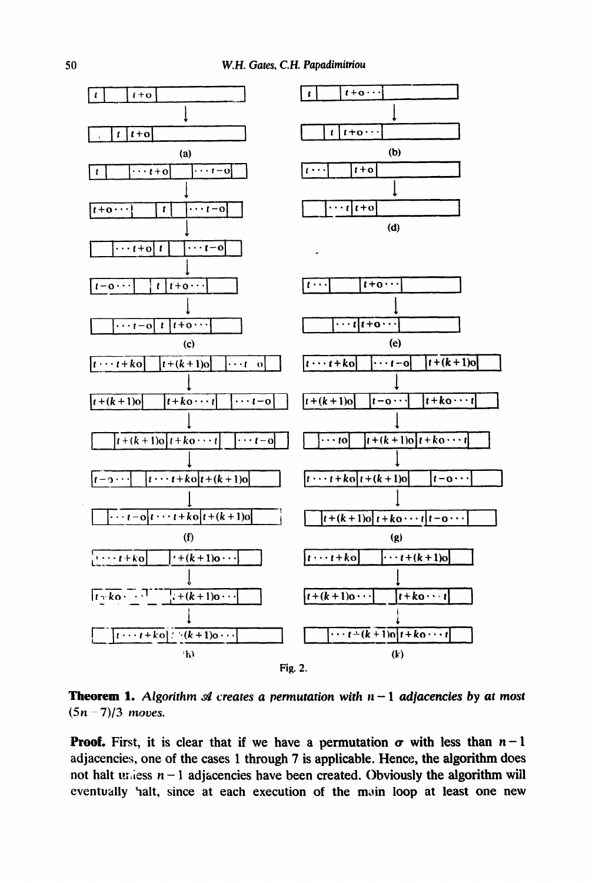

**Theorem 1.** Algorithm  $\mathcal A$  creates a permutation with  $n-1$  adjacencies by at most  $(5n - 7)/3$  moves.

**Proof.** First, it is clear that if we have a permutation  $\sigma$  with less than  $n-1$ adjacencies, one of the cases 1 through 7 is applicable. Hence, the algorithm **does**  not halt u<sub>i</sub>, iess  $n-1$  adjacencies have been created. Obviously the algorithm will eventually halt, since at each execution of the main loop at least one new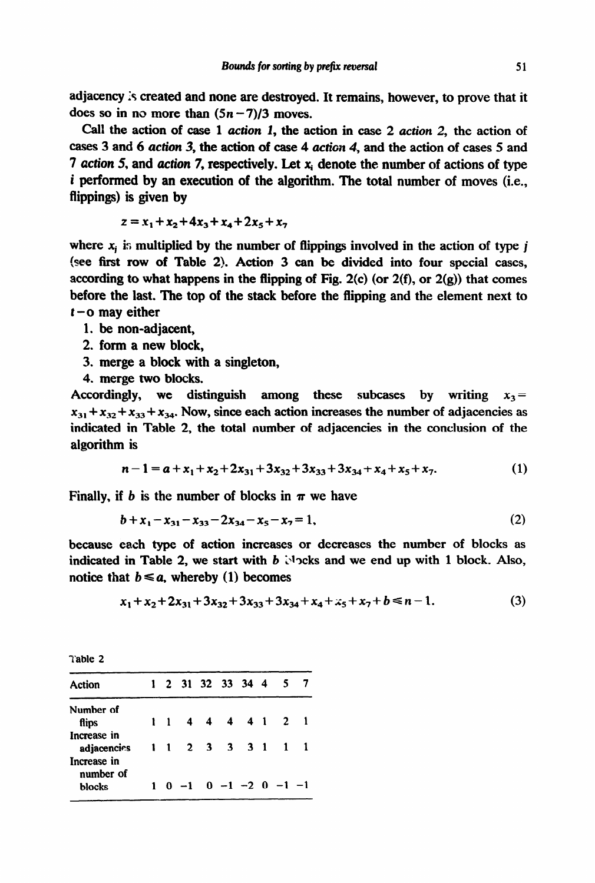adjacency is created and none are destroyed. It remains, however, to prove that it does so in no more than  $(5n-7)/3$  moves.

Call the action of case  $1$  action  $1$ , the action in case  $2$  action  $2$ , the action of cases 3 and 6 action 3, the action of case 4 action 4, and the action of cases 5 and 7 action 5, and action 7, respectively. Let  $x_i$  denote the number of actions of type i performed by an execution of the algorithm. The total number of moves (i.e., flippings) is given by

$$
z = x_1 + x_2 + 4x_3 + x_4 + 2x_5 + x_7
$$

where  $x_i$  is multiplied by the number of flippings involved in the action of type j (see first row of Table 2). Action 3 can be divided into four special cases, according to what happens in the flipping of Fig. 2(c) (or  $2(f)$ , or  $2(g)$ ) that comes before the last. The top of the stack before the flipping and the element next to **t-0** may either

- 1. be non-adjacent,
- 2. form a new block,
- 3. merge a block with a singleton,
- 4. merge two blocks.

Accordingly, we distinguish among these subcases by writing  $x_3=$  $x_{31} + x_{32} + x_{33} + x_{34}$ . Now, since each action increases the number of adjacencies as indicated in Table 2, the total number of adjacencies in the conclusion of the algorithm is

$$
n-1 = a + x_1 + x_2 + 2x_{31} + 3x_{32} + 3x_{33} + 3x_{34} + x_4 + x_5 + x_7. \tag{1}
$$

Finally, if b is the number of blocks in  $\pi$  we have

$$
b + x_1 - x_{31} - x_{33} - 2x_{34} - x_5 - x_7 = 1,
$$
 (2)

because each type of action increases or decreases the number of blocks as indicated in Table 2, we start with  $b$   $\vee$  ocks and we end up with 1 block. Also, notice that  $b \le a$ , whereby (1) becomes

$$
x_1 + x_2 + 2x_{31} + 3x_{32} + 3x_{33} + 3x_{34} + x_4 + x_5 + x_7 + b \le n - 1. \tag{3}
$$

| ١<br>n<br>I<br>× |  |
|------------------|--|
|                  |  |

| Action                     |             |              | 1 2 31 32 33 34 4 |  | -5                                       |  |
|----------------------------|-------------|--------------|-------------------|--|------------------------------------------|--|
| Number of                  |             |              |                   |  |                                          |  |
| flips                      | $1 \quad 1$ |              | 4   4   4   4   1 |  | $\begin{array}{ccc} & 2 & 1 \end{array}$ |  |
| Increase in<br>adjacencies |             |              | 1 1 2 3 3 3 1     |  |                                          |  |
| Increase in<br>number of   |             |              |                   |  |                                          |  |
| blocks                     |             | $1 \t0 \t-1$ |                   |  | $0 -1 -2 0 -1 -1$                        |  |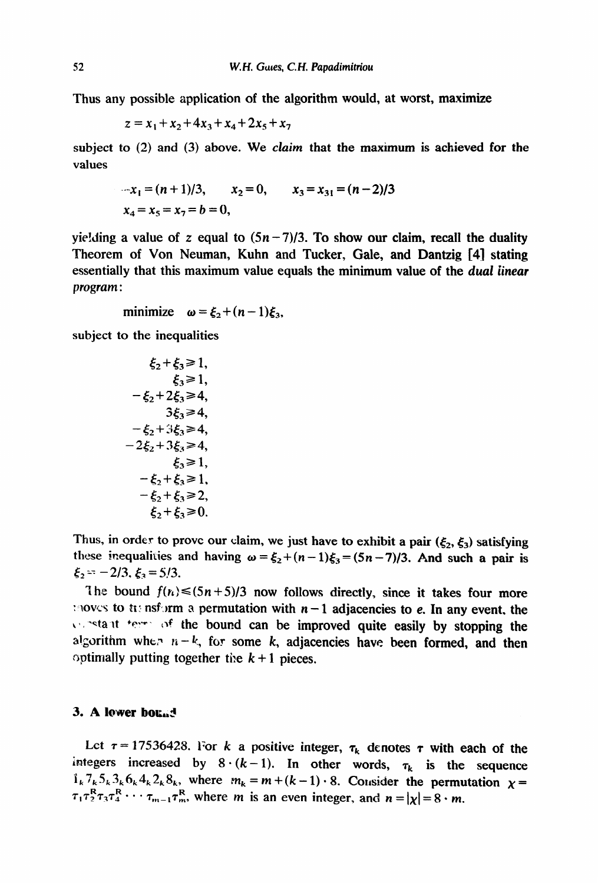Thus any possible application of the algorithm would, at worst, maximize

$$
z = x_1 + x_2 + 4x_3 + x_4 + 2x_5 + x_7
$$

subject to  $(2)$  and  $(3)$  above. We claim that the maximum is achieved for the values

$$
x_1 = (n+1)/3, \qquad x_2 = 0, \qquad x_3 = x_{31} = (n-2)/3
$$
  

$$
x_4 = x_5 = x_7 = b = 0,
$$

yielding a value of z equal to  $(5n - 7)/3$ . To show our claim, recall the duality Theorem of Von Neuman, Kuhn and Tucker, Gale, and Dantzig [4] stating essentially that this maximum value equals the minimum value of the dual linear *program* :

minimize  $\omega = \xi_2 + (n-1)\xi_3$ ,

subject to the inequalities

$$
\xi_2 + \xi_3 \ge 1, \n\xi_3 \ge 1, \n-\xi_2 + 2\xi_3 \ge 4, \n3\xi_3 \ge 4, \n-\xi_2 + 3\xi_3 \ge 4, \n-2\xi_2 + 3\xi_3 \ge 4, \n\xi_3 \ge 1, \n-\xi_2 + \xi_3 \ge 1, \n-\xi_2 + \xi_3 \ge 2, \n\xi_2 + \xi_3 \ge 0.
$$

Thus, in order to prove our claim, we just have to exhibit a pair  $(\xi_2, \xi_3)$  satisfying these inequalities and having  $\omega = \xi_2 + (n-1)\xi_3 = (5n-7)/3$ . And such a pair is  $\xi_2 = -2/3$ ,  $\xi_3 = 5/3$ .

The bound  $f(n) \leq (5n + 5)/3$  now follows directly, since it takes four more : noves to to **nsform a permutation with**  $n-1$  **adjacencies to e. In any event, the 4'0 \*eta It +yr- of the bound can be improved quite easily by stopping the**  algorithm when  $n - k$ , for some k, adjacencies have been formed, and then  $\alpha$  optimally putting together the  $k + 1$  pieces.

#### 3. A lower bound

Let  $\tau = 17536428$ . For *k* a positive integer,  $\tau_k$  denotes  $\tau$  with each of the integers increased by  $8 \cdot (k-1)$ . In other words,  $\tau_k$  is the sequence  $1.7.5.36428$  where m =  $R_{k}S_{k}S_{k}G_{k}4_{k}2_{k}S_{k}$ , where  $m_{k} = m + (k - 1) \cdot 8$ . Consider the permutation  $\chi =$  $\tau$ , $\tau^R$ ,  $\tau$ , $\tau^R$ ,  $\ldots$ ,  $\tau^R$ , where m is an even integer, and  $n = 1,1,8, \ldots$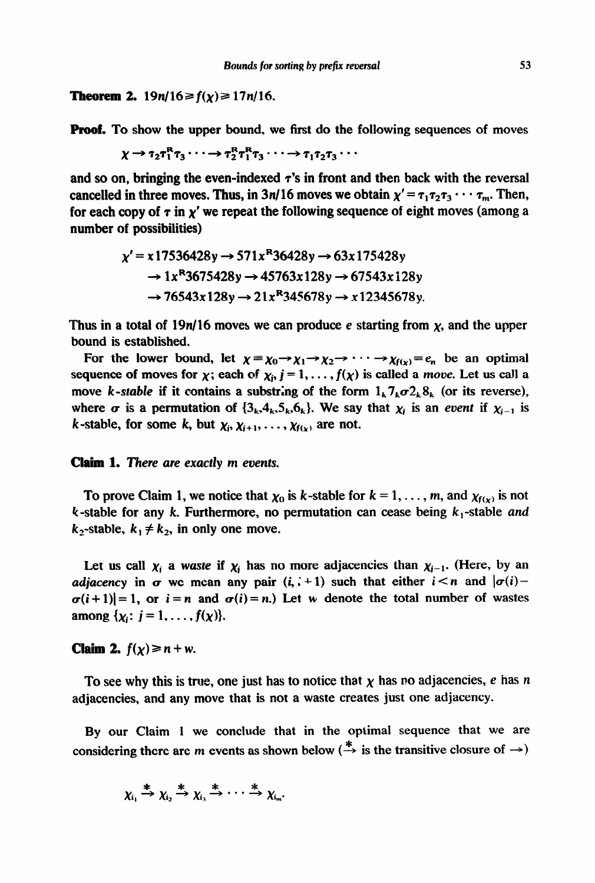**Theorem 2.**  $19n/16 \ge f(x) \ge 17n/16$ .

**Proof.** To show the upper bound, we first do the following sequences of moves

 $\chi \rightarrow \tau_2 \tau_1^R \tau_3 \cdots \rightarrow \tau_2^R \tau_1^R \tau_3 \cdots \rightarrow \tau_1 \tau_2 \tau_3 \cdots$ 

and so on, bringing the even-indexed  $\tau$ 's in front and then back with the reversal cancelled in three moves. Thus, in 3n/16 moves we obtain  $\chi' = \tau_1 \tau_2 \tau_3 \cdots \tau_m$ . Then, for each copy of  $\tau$  in  $\chi'$  we repeat the following sequence of eight moves (among a number of possibilities)

$$
\chi' = x 17536428y \rightarrow 571x^{R}36428y \rightarrow 63x 175428y
$$
  
\n
$$
\rightarrow 1x^{R}3675428y \rightarrow 45763x 128y \rightarrow 67543x 128y
$$
  
\n
$$
\rightarrow 76543x 128y \rightarrow 21x^{R}345678y \rightarrow x 12345678y.
$$

Thus in a total of 19n/16 moves we can produce e starting from  $x$ , and the upper bound is established.

For the lower bound, let  $\chi = \chi_0 \rightarrow \chi_1 \rightarrow \chi_2 \rightarrow \cdots \rightarrow \chi_{f(x)} = e_n$  be an optimal sequence of moves for  $\chi$ ; each of  $\chi_i$ ,  $j = 1, \ldots, f(\chi)$  is called a move. Let us call a move k-stable if it contains a substring of the form  $1_k 7_k \sigma 2_k 8_k$  (or its reverse), where  $\sigma$  is a permutation of  $\{3_k,4_k,5_k,6_k\}$ . We say that  $\chi_i$  is an *event* if  $\chi_{i-1}$  is k-stable, for some k, but  $\chi_i, \chi_{i+1}, \ldots, \chi_{f(\chi)}$  are not.

## Claim **1. There are exactly m** *events.*

To prove Claim 1, we notice that  $\chi_0$  is k-stable for  $k = 1, \ldots, m$ , and  $\chi_{f(x)}$  is not  $k$ -stable for any  $k$ . Furthermore, no permutation can cease being  $k_1$ -stable *and*  $k_2$ -stable,  $k_1 \neq k_2$ , in only one move.

Let us call  $\chi_i$  a *waste* if  $\chi_i$  has no more adjacencies than  $\chi_{i-1}$ . (Here, by an *adjacency* in  $\sigma$  we mean any pair  $(i, i + 1)$  such that either  $i < n$  and  $|\sigma(i) \sigma(i+1)|=1$ , or  $i=n$  and  $\sigma(i)=n$ .) Let w denote the total number of wastes among  $\{\chi_i: j = 1, ..., f(\chi)\}.$ 

**Claim 2.**  $f(x) \ge n + w$ .

To see why this is true, one just has to notice that  $\chi$  has no adjacencies, e has n adjacencies, and any move that is not a waste creates just one adjacency.

By our Claim 1 we conclude that in the optimal sequence that we are considering there are m events as shown below  $(\tilde{\rightarrow}$  is the transitive closure of  $\rightarrow)$ 

$$
\chi_{i_1} \stackrel{*}{\to} \chi_{i_2} \stackrel{*}{\to} \chi_{i_3} \stackrel{*}{\to} \cdots \stackrel{*}{\to} \chi_{i_m}
$$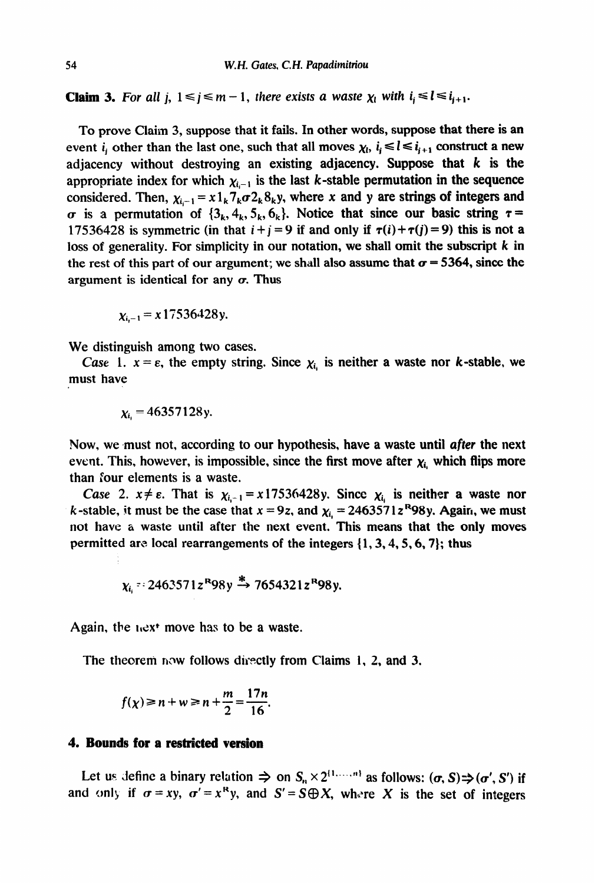**Claim 3.** For all j,  $1 \le j \le m - 1$ , there exists a waste  $\chi_i$  with  $i_j \le l \le i_{i+1}$ .

To prove Claim 3, suppose that it fails. In other words, suppose **that there is an**  event *i<sub>i</sub>* other than the last one, such that all moves  $\chi_i$ ,  $i_i \le l \le i_{i+1}$  construct a new adjacency without destroying an existing adjacency. Suppose that  $k$  is the appropriate index for which  $\chi_{i-1}$  is the last k-stable permutation in the sequence considered. Then,  $\chi_{i-1} = x 1_k 7_k \sigma 2_k 8_k y$ , where x and y are strings of integers and  $\sigma$  is a permutation of  $\{3_k, 4_k, 5_k, 6_k\}$ . Notice that since our basic string  $\tau =$ **17536428** is symmetric (in that  $i + j = 9$  if and only if  $\tau(i) + \tau(j) = 9$ ) this is not a loss of generality. For simplicity in our notation, we shall omit the subscript  $k$  in the rest of this part of our argument; we shall also assume that  $\sigma = 5364$ , since the argument is identical for any  $\sigma$ . Thus

 $x_{i-1} = x 17536428y.$ 

We distinguish among two cases.

*Case* 1.  $x = \varepsilon$ , the empty string. Since  $\chi_i$  is neither a waste nor k-stable, we must have

$$
\chi_{i} = 46357128y.
$$

Now, we must not, according to our hypothesis, have a waste until after the next event. This, however, is impossible, since the first move after  $\chi_i$  which flips more than four elements is a waste.

*Case* 2.  $x \neq \varepsilon$ . That is  $\chi_{i-1} = x 17536428y$ . Since  $\chi_i$  is neither a waste nor k-stable, it must be the case that  $x = 9z$ , and  $\chi_i = 2463571z^R98y$ . Again, we must not have a waste until after the next event. This means that the only moves permitted are local rearrangements of the integers  $\{1, 3, 4, 5, 6, 7\}$ ; thus

$$
\chi_i = 2463571z^R98y^* \rightarrow 7654321z^R98y.
$$

Again, the  $i$ <sub>c</sub>x<sup> $\cdot$ </sup> move has to be a waste.

**The theoreni** now follows directly from Claims 1, 2, and 3.

$$
f(\chi) \ge n + w \ge n + \frac{m}{2} = \frac{17n}{16}.
$$

### 4. **Bounds for a restricted version**

Let us define a binary relation  $\Rightarrow$  on  $S_n \times 2^{\{1,\ldots,n\}}$  as follows:  $(\sigma, S) \Rightarrow (\sigma', S')$  if and only if  $\sigma = xy$ ,  $\sigma' = x^R y$ , and  $S' = S \oplus X$ , where X is the set of integers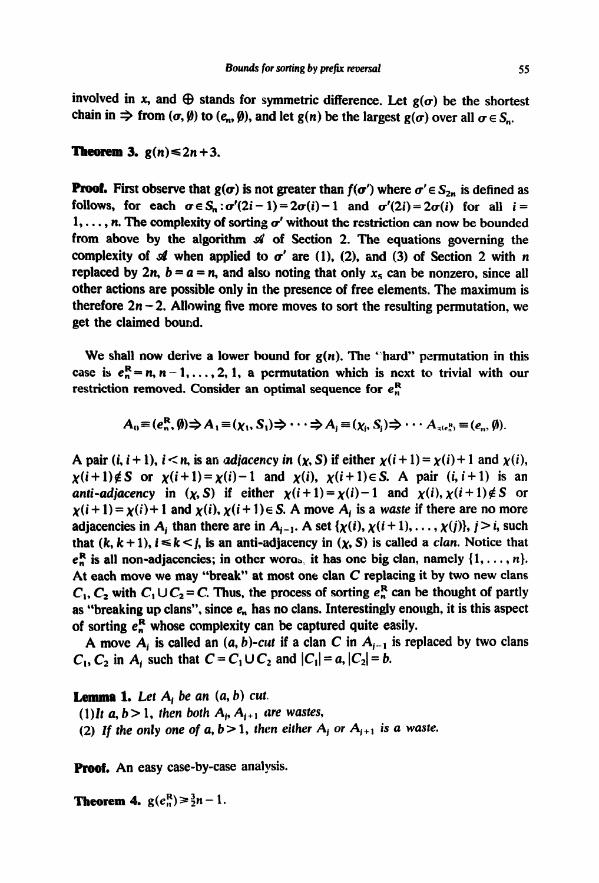involved in x, and  $\oplus$  stands for symmetric difference. Let  $g(\sigma)$  be the shortest chain in  $\Rightarrow$  from  $(\sigma, \emptyset)$  to  $(e_n, \emptyset)$ , and let  $g(n)$  be the largest  $g(\sigma)$  over all  $\sigma \in S_n$ .

**Theorem 3.**  $g(n) \leq 2n+3$ .

**Proof.** First observe that  $g(\sigma)$  is not greater than  $f(\sigma')$  where  $\sigma' \in S_{2n}$  is defined as follows, for each  $\sigma \in S_n$ :  $\sigma'(2i-1) = 2\sigma(i) - 1$  and  $\sigma'(2i) = 2\sigma(i)$  for all  $i =$ 1, ..., n. The complexity of sorting  $\sigma'$  without the restriction can now be bounded from above by the algorithm  $\mathcal A$  of Section 2. The equations governing the complexity of  $\mathcal A$  when applied to  $\sigma'$  are (1), (2), and (3) of Section 2 with n replaced by 2n,  $b = a = n$ , and also noting that only  $x<sub>5</sub>$  can be nonzero, since all other actions are possible only in the presence of free elements. The maximum is therefore  $2n - 2$ . Allowing five more moves to sort the resulting permutation, we get the claimed bound.

We shall now derive a lower bound for  $g(n)$ . The "hard" permutation in this case is  $e_n^R = n, n-1, \ldots, 2, 1$ , a permutation which is next to trivial with our restriction removed. Consider an optimal sequence for  $e_n^R$ 

$$
A_0 \equiv (e_n^R, \emptyset) \Rightarrow A_1 \equiv (\chi_1, S_1) \Rightarrow \cdots \Rightarrow A_i \equiv (\chi_i, S_i) \Rightarrow \cdots A_{\chi(e_n^R)} \equiv (e_n, \emptyset).
$$

A pair (*i*, *i* + 1), *i* < *n*, is an *adjacency in* (*x*, *S*) if either  $\chi(i+1) = \chi(i) + 1$  and  $\chi(i)$ ,  $\chi(i+1) \notin S$  or  $\chi(i+1) = \chi(i)-1$  and  $\chi(i)$ ,  $\chi(i+1) \in S$ . A pair  $(i, i+1)$  is an **anti-adjacency** in  $(\chi, S)$  if either  $\chi(i+1) = \chi(i) - 1$  and  $\chi(i), \chi(i+1) \notin S$  or  $\chi(i+1) = \chi(i)+1$  and  $\chi(i)$ ,  $\chi(i+1) \in S$ . A move  $A_i$  is a waste if there are no more adjacencies in A<sub>i</sub> than there are in A<sub>i-1</sub>. A set  $\{\chi(i), \chi(i+1), \ldots, \chi(j)\}, j > i$ , such that  $(k, k + 1)$ ,  $i \le k \le j$ , is an anti-adjacency in  $(\chi, S)$  is called a *clan*. Notice that  $e_n^R$  is all non-adjacencies; in other words, it has one big clan, namely  $\{1, \ldots, n\}$ . At each move we may "break" at most one clan  $C$  replacing it by two new clans  $C_1$ ,  $C_2$  with  $C_1 \cup C_2 = C$ . Thus, the process of sorting  $e_n^R$  can be thought of partly as "breaking up clans", since  $e_n$  has no clans. Interestingly enough, it is this aspect of sorting  $e_n^R$  whose complexity can be captured quite easily.

A move  $A_i$  is called an  $(a, b)$ -cut if a clan C in  $A_{i-1}$  is replaced by two clans  $C_1$ ,  $C_2$  in  $A_i$  such that  $C = C_1 \cup C_2$  and  $|C_1| = a$ ,  $|C_2| = b$ .

#### **Lemma 1.** Let  $A_i$  be an  $(a, b)$  cut.

(1)*It a, b* > 1*, then both*  $A_i$ ,  $A_{i+1}$  are wastes,

(2) If the only one of  $a, b > 1$ , then either  $A_i$  or  $A_{i+1}$  is a waste.

**Proof.** An easy case-by-case analysis.

**Theorem 4.**  $g(e_n^R) \ge \frac{3}{2}n - 1$ .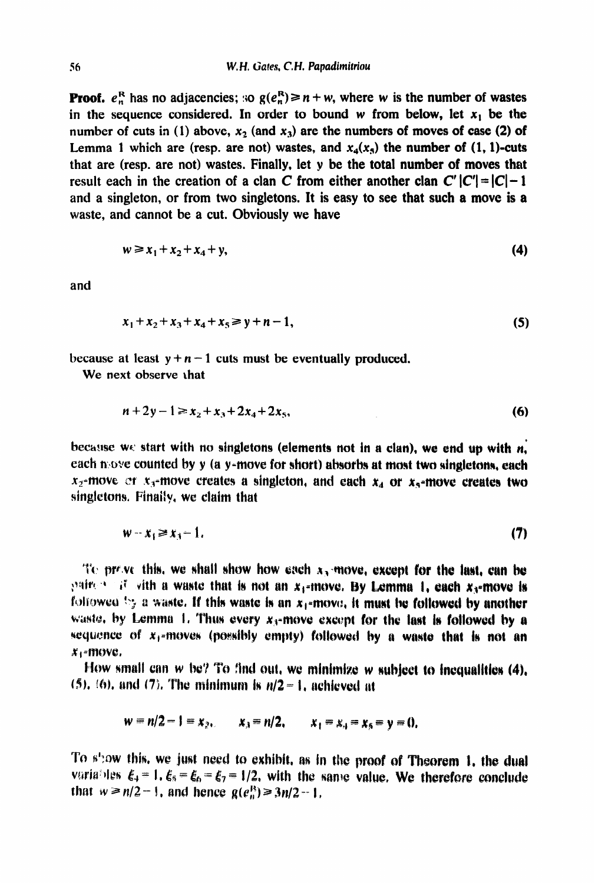**Proof.**  $e_n^R$  has no adjacencies; so  $g(e_n^R) \ge n + w$ , where w is the number of wastes in the sequence considered. In order to bound w from below, let  $x_1$  be the number of cuts in (1) above,  $x_2$  (and  $x_3$ ) are the numbers of moves of case (2) of Lemma 1 which are (resp. are not) wastes, and  $x_4(x_5)$  the number of  $(1, 1)$ -cuts that are (resp. are not) wastes. Finally, let y **be the total number of moves that**  result each in the creation of a clan C from either another clan  $C'$   $|C'| = |C| - 1$ and a singleton, or from two singletons. It is easy to see that such a move is a **waste,** and cannot be a cut. Obviously we have

$$
w \ge x_1 + x_2 + x_4 + y,\tag{4}
$$

and

$$
x_1 + x_2 + x_3 + x_4 + x_5 \geq y + n - 1,\tag{5}
$$

because at least  $y + n - 1$  cuts must be eventually produced.

We next observe that

$$
n+2y-1 \geq x_2 + x_3 + 2x_4 + 2x_5, \tag{6}
$$

because we start with no singletons (elements not in a clan), we end up with *n*, each n:ove counted by y (a y-move for short) absorbs at most two singletons, each  $x_2$ -move or  $x_3$ -move creates a singleton, and each  $x_4$  or  $x_5$ -move creates two singletons. Finally, we claim that

$$
w-x_1 \ge x_3-1. \tag{7}
$$

To prove this, we shall show how each  $x_2$  move, except for the last, can be pairent if with a waste that is not an  $x_1$ -move. By Lemma 1, each  $x_3$ -move is followed by a waste. If this waste is an  $x_1$ -move, it must be followed by another waste, by Lemma 1. Thus every  $x_3$ -move except for the last is followed by a sequence of  $x_1$ -moves (possibly empty) followed by a waste that is not an  $x_1$ -move.

How small can  $w$  be? To find out, we minimize  $w$  subject to inequalities (4),  $(5)$ ,  $(6)$ , and  $(7)$ . The minimum is  $n/2-1$ , achieved at

$$
w = n/2 - 1 = x_2
$$
,  $x_3 = n/2$ ,  $x_1 = x_4 = x_5 = y = 0$ ,

To show this, we just need to exhibit, as in the proof of Theorem 1, the dual variables  $\xi_4 = 1$ ,  $\xi_5 = \xi_6 = \xi_7 = 1/2$ , with the same value. We therefore conclude that  $w \ge n/2 - 1$ , and hence  $g(e_n^R) \ge 3n/2 - 1$ .